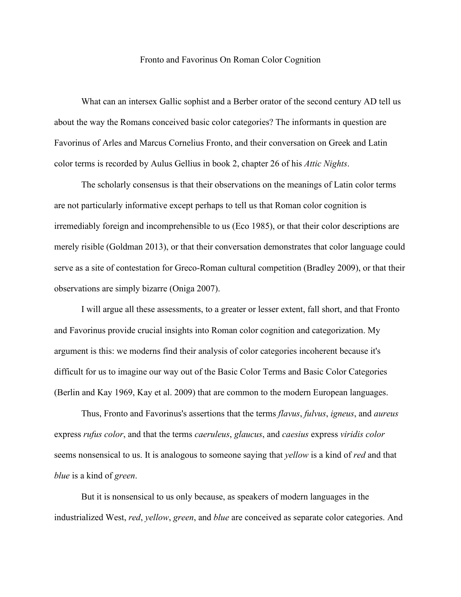## Fronto and Favorinus On Roman Color Cognition

What can an intersex Gallic sophist and a Berber orator of the second century AD tell us about the way the Romans conceived basic color categories? The informants in question are Favorinus of Arles and Marcus Cornelius Fronto, and their conversation on Greek and Latin color terms is recorded by Aulus Gellius in book 2, chapter 26 of his *Attic Nights*.

The scholarly consensus is that their observations on the meanings of Latin color terms are not particularly informative except perhaps to tell us that Roman color cognition is irremediably foreign and incomprehensible to us (Eco 1985), or that their color descriptions are merely risible (Goldman 2013), or that their conversation demonstrates that color language could serve as a site of contestation for Greco-Roman cultural competition (Bradley 2009), or that their observations are simply bizarre (Oniga 2007).

I will argue all these assessments, to a greater or lesser extent, fall short, and that Fronto and Favorinus provide crucial insights into Roman color cognition and categorization. My argument is this: we moderns find their analysis of color categories incoherent because it's difficult for us to imagine our way out of the Basic Color Terms and Basic Color Categories (Berlin and Kay 1969, Kay et al. 2009) that are common to the modern European languages.

Thus, Fronto and Favorinus's assertions that the terms *flavus*, *fulvus*, *igneus*, and *aureus* express *rufus color*, and that the terms *caeruleus*, *glaucus*, and *caesius* express *viridis color* seems nonsensical to us. It is analogous to someone saying that *yellow* is a kind of *red* and that *blue* is a kind of *green*.

But it is nonsensical to us only because, as speakers of modern languages in the industrialized West, *red*, *yellow*, *green*, and *blue* are conceived as separate color categories. And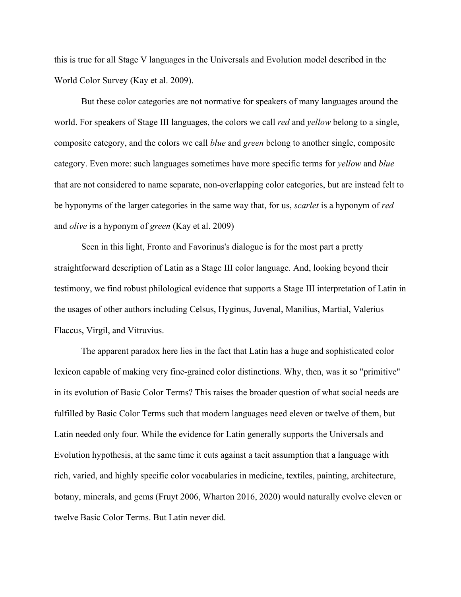this is true for all Stage V languages in the Universals and Evolution model described in the World Color Survey (Kay et al. 2009).

But these color categories are not normative for speakers of many languages around the world. For speakers of Stage III languages, the colors we call *red* and *yellow* belong to a single, composite category, and the colors we call *blue* and *green* belong to another single, composite category. Even more: such languages sometimes have more specific terms for *yellow* and *blue* that are not considered to name separate, non-overlapping color categories, but are instead felt to be hyponyms of the larger categories in the same way that, for us, *scarlet* is a hyponym of *red* and *olive* is a hyponym of *green* (Kay et al. 2009)

Seen in this light, Fronto and Favorinus's dialogue is for the most part a pretty straightforward description of Latin as a Stage III color language. And, looking beyond their testimony, we find robust philological evidence that supports a Stage III interpretation of Latin in the usages of other authors including Celsus, Hyginus, Juvenal, Manilius, Martial, Valerius Flaccus, Virgil, and Vitruvius.

The apparent paradox here lies in the fact that Latin has a huge and sophisticated color lexicon capable of making very fine-grained color distinctions. Why, then, was it so "primitive" in its evolution of Basic Color Terms? This raises the broader question of what social needs are fulfilled by Basic Color Terms such that modern languages need eleven or twelve of them, but Latin needed only four. While the evidence for Latin generally supports the Universals and Evolution hypothesis, at the same time it cuts against a tacit assumption that a language with rich, varied, and highly specific color vocabularies in medicine, textiles, painting, architecture, botany, minerals, and gems (Fruyt 2006, Wharton 2016, 2020) would naturally evolve eleven or twelve Basic Color Terms. But Latin never did.